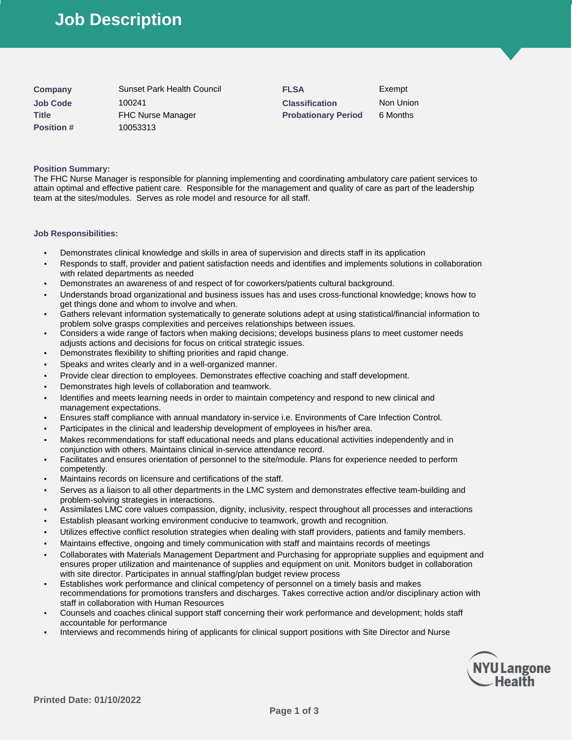# **Job Description**

| Company           | Sunset Park Health Council | <b>FLSA</b>                | Exempt  |
|-------------------|----------------------------|----------------------------|---------|
| <b>Job Code</b>   | 100241                     | <b>Classification</b>      | Non Un  |
| <b>Title</b>      | <b>FHC Nurse Manager</b>   | <b>Probationary Period</b> | 6 Month |
| <b>Position #</b> | 10053313                   |                            |         |

**Classification** Non Union **Probationary Period** 6 Months

# **Position Summary:**

The FHC Nurse Manager is responsible for planning implementing and coordinating ambulatory care patient services to attain optimal and effective patient care. Responsible for the management and quality of care as part of the leadership team at the sites/modules. Serves as role model and resource for all staff.

# **Job Responsibilities:**

- Demonstrates clinical knowledge and skills in area of supervision and directs staff in its application
- Responds to staff, provider and patient satisfaction needs and identifies and implements solutions in collaboration with related departments as needed
- Demonstrates an awareness of and respect of for coworkers/patients cultural background.
- Understands broad organizational and business issues has and uses cross-functional knowledge; knows how to get things done and whom to involve and when.
- Gathers relevant information systematically to generate solutions adept at using statistical/financial information to problem solve grasps complexities and perceives relationships between issues.
- Considers a wide range of factors when making decisions; develops business plans to meet customer needs adjusts actions and decisions for focus on critical strategic issues.
- Demonstrates flexibility to shifting priorities and rapid change.
- Speaks and writes clearly and in a well-organized manner.
- Provide clear direction to employees. Demonstrates effective coaching and staff development.
- Demonstrates high levels of collaboration and teamwork.
- Identifies and meets learning needs in order to maintain competency and respond to new clinical and management expectations.
- Ensures staff compliance with annual mandatory in-service i.e. Environments of Care Infection Control.
- Participates in the clinical and leadership development of employees in his/her area.
- Makes recommendations for staff educational needs and plans educational activities independently and in conjunction with others. Maintains clinical in-service attendance record.
- Facilitates and ensures orientation of personnel to the site/module. Plans for experience needed to perform competently.
- Maintains records on licensure and certifications of the staff.
- Serves as a liaison to all other departments in the LMC system and demonstrates effective team-building and problem-solving strategies in interactions.
- Assimilates LMC core values compassion, dignity, inclusivity, respect throughout all processes and interactions
- Establish pleasant working environment conducive to teamwork, growth and recognition.
- Utilizes effective conflict resolution strategies when dealing with staff providers, patients and family members.
- Maintains effective, ongoing and timely communication with staff and maintains records of meetings
- Collaborates with Materials Management Department and Purchasing for appropriate supplies and equipment and ensures proper utilization and maintenance of supplies and equipment on unit. Monitors budget in collaboration with site director. Participates in annual staffing/plan budget review process
- Establishes work performance and clinical competency of personnel on a timely basis and makes recommendations for promotions transfers and discharges. Takes corrective action and/or disciplinary action with staff in collaboration with Human Resources
- Counsels and coaches clinical support staff concerning their work performance and development; holds staff accountable for performance
- Interviews and recommends hiring of applicants for clinical support positions with Site Director and Nurse

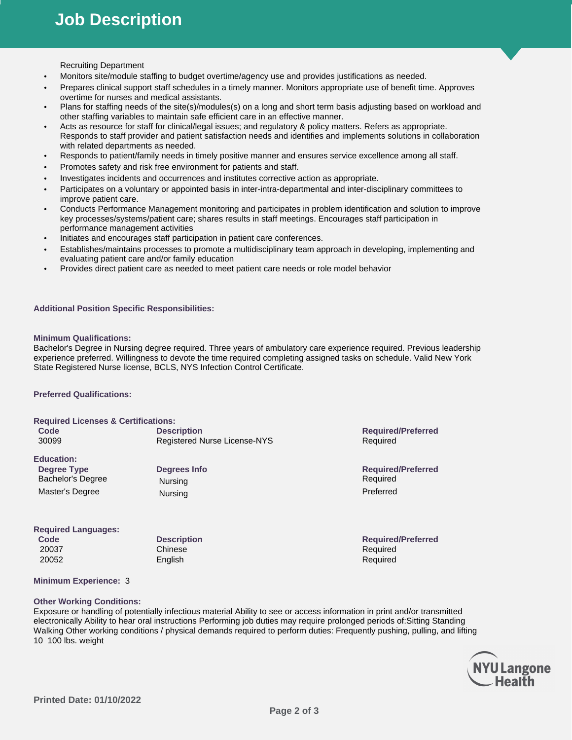Recruiting Department

- Monitors site/module staffing to budget overtime/agency use and provides justifications as needed.
- Prepares clinical support staff schedules in a timely manner. Monitors appropriate use of benefit time. Approves overtime for nurses and medical assistants.
- Plans for staffing needs of the site(s)/modules(s) on a long and short term basis adjusting based on workload and other staffing variables to maintain safe efficient care in an effective manner.
- Acts as resource for staff for clinical/legal issues; and regulatory & policy matters. Refers as appropriate. Responds to staff provider and patient satisfaction needs and identifies and implements solutions in collaboration with related departments as needed.
- Responds to patient/family needs in timely positive manner and ensures service excellence among all staff.
- Promotes safety and risk free environment for patients and staff.
- Investigates incidents and occurrences and institutes corrective action as appropriate.
- Participates on a voluntary or appointed basis in inter-intra-departmental and inter-disciplinary committees to improve patient care.
- Conducts Performance Management monitoring and participates in problem identification and solution to improve key processes/systems/patient care; shares results in staff meetings. Encourages staff participation in performance management activities
- Initiates and encourages staff participation in patient care conferences.
- Establishes/maintains processes to promote a multidisciplinary team approach in developing, implementing and evaluating patient care and/or family education
- Provides direct patient care as needed to meet patient care needs or role model behavior

# **Additional Position Specific Responsibilities:**

#### **Minimum Qualifications:**

Bachelor's Degree in Nursing degree required. Three years of ambulatory care experience required. Previous leadership experience preferred. Willingness to devote the time required completing assigned tasks on schedule. Valid New York State Registered Nurse license, BCLS, NYS Infection Control Certificate.

#### **Preferred Qualifications:**

#### **Required Licenses & Certifications:**

| Code<br>30099                                                                   | <b>Description</b><br>Registered Nurse License-NYS | <b>Required/Preferred</b><br>Required              |
|---------------------------------------------------------------------------------|----------------------------------------------------|----------------------------------------------------|
| <b>Education:</b><br>Degree Type<br><b>Bachelor's Degree</b><br>Master's Degree | Degrees Info<br>Nursing<br>Nursing                 | <b>Required/Preferred</b><br>Required<br>Preferred |
| <b>Required Languages:</b><br>Code                                              | <b>Description</b>                                 | <b>Required/Preferred</b>                          |

20037 Chinese **Chinese** Chinese Required

20052 English Required

# **Minimum Experience:** 3

#### **Other Working Conditions:**

Exposure or handling of potentially infectious material Ability to see or access information in print and/or transmitted electronically Ability to hear oral instructions Performing job duties may require prolonged periods of:Sitting Standing Walking Other working conditions / physical demands required to perform duties: Frequently pushing, pulling, and lifting 10 100 lbs. weight